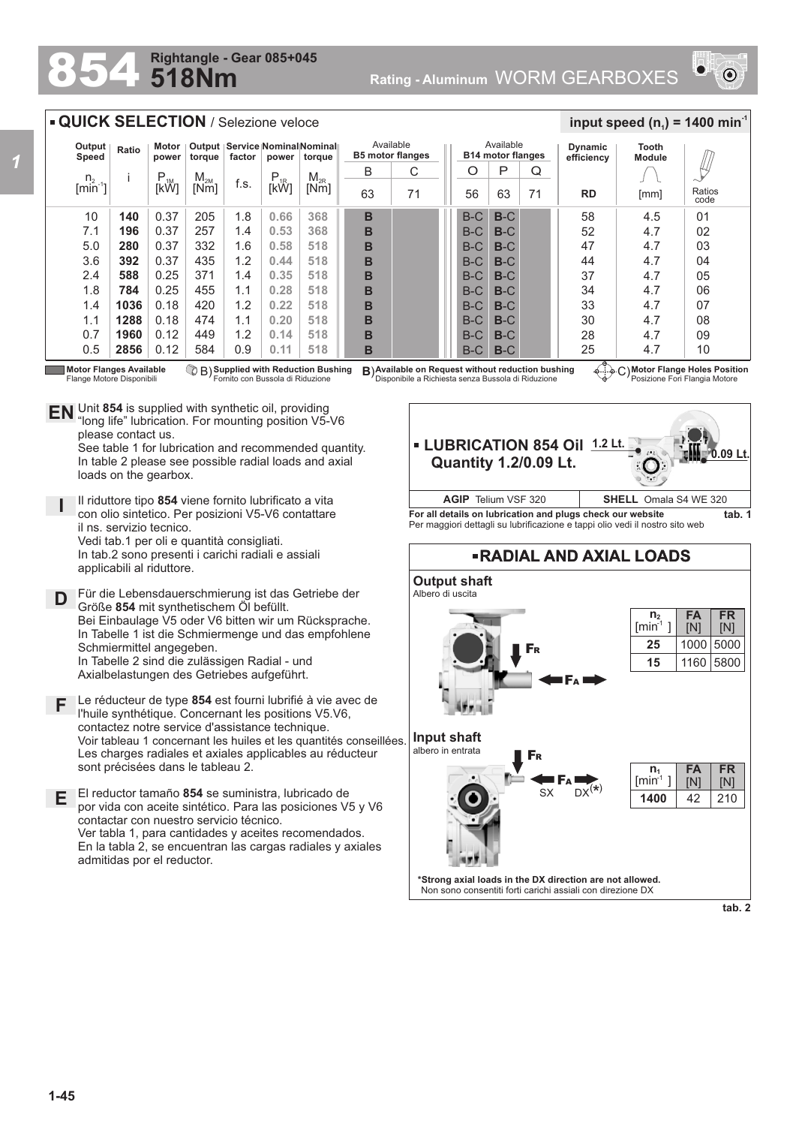## **518Nm Rightangle - Gear 085+045**



## **QUICK SELECTION** / Selezione veloce

| Output<br>Speed   | Ratio | Motor<br>power | torque   | factor | power     | Output   Service   Nominal Nominal  <br>torque | Available<br><b>B5 motor flanges</b> |    | Available<br><b>B14 motor flanges</b> |       |    | Dynamic<br>efficiency | Tooth<br><b>Module</b> |                |
|-------------------|-------|----------------|----------|--------|-----------|------------------------------------------------|--------------------------------------|----|---------------------------------------|-------|----|-----------------------|------------------------|----------------|
| $n_{2, -1}$       |       | $P_{1M}$       | $M_{2M}$ |        | $P_{.1R}$ | $M_{2R}$                                       | B                                    | С  | O                                     | P     | Q  |                       |                        |                |
| [min <sup>-</sup> |       | [kW]           | [Nm]     | f.s.   | [kŴ]      | [Nm]                                           | 63                                   | 71 | 56                                    | 63    | 71 | <b>RD</b>             | [mm]                   | Ratios<br>code |
| 10                | 140   | 0.37           | 205      | 1.8    | 0.66      | 368                                            | B                                    |    | $B-C$                                 | $B-C$ |    | 58                    | 4.5                    | 01             |
| 7.1               | 196   | 0.37           | 257      | 1.4    | 0.53      | 368                                            | B                                    |    | $B-C$                                 | $B-C$ |    | 52                    | 4.7                    | 02             |
| 5.0               | 280   | 0.37           | 332      | 1.6    | 0.58      | 518                                            | B                                    |    | $B-C$                                 | $B-C$ |    | 47                    | 4.7                    | 03             |
| 3.6               | 392   | 0.37           | 435      | 1.2    | 0.44      | 518                                            | B                                    |    | $B-C$                                 | $B-C$ |    | 44                    | 4.7                    | 04             |
| 2.4               | 588   | 0.25           | 371      | 1.4    | 0.35      | 518                                            | в                                    |    | $B-C$                                 | $B-C$ |    | 37                    | 4.7                    | 05             |
| 1.8               | 784   | 0.25           | 455      | 1.1    | 0.28      | 518                                            | B                                    |    | $B-C$                                 | $B-C$ |    | 34                    | 4.7                    | 06             |
| 1.4               | 1036  | 0.18           | 420      | 1.2    | 0.22      | 518                                            | B                                    |    | $B-C$                                 | $B-C$ |    | 33                    | 4.7                    | 07             |
| 1.1               | 1288  | 0.18           | 474      | 1.1    | 0.20      | 518                                            | B                                    |    | $B-C$                                 | $B-C$ |    | 30                    | 4.7                    | 08             |
| 0.7               | 1960  | 0.12           | 449      | 1.2    | 0.14      | 518                                            | B                                    |    | $B-C$                                 | $B-C$ |    | 28                    | 4.7                    | 09             |
| 0.5               | 2856  | 0.12           | 584      | 0.9    | 0.11      | 518                                            | в                                    |    | $B-C$                                 | $B-C$ |    | 25<br>₳               | 4.7                    | 10             |

**Motor Flanges Available** Flange Motore Disponibili

**Supplied with Reduction Bushing** Fornito con Bussola di Riduzione

Unit **854** is supplied with synthetic oil, providing **EN** Unit 854 is supplied with synthetic oil, providing<br>"long life" lubrication. For mounting position V5-V6 please contact us. See table 1 for lubrication and recommended quantity. In table 2 please see possible radial loads and axial loads on the gearbox.

**I** Il riduttore tipo **854** viene fornito lubrificato a vita con olio sintetico. Per posizioni V5-V6 contattare il ns. servizio tecnico. Vedi tab.1 per oli e quantità consigliati. In tab.2 sono presenti i carichi radiali e assiali applicabili al riduttore.

**D** Für die Lebensdauerschmierung ist das Getriebe der<br>
Größe 854 mit synthetischem Öl befüllt Größe **854** mit synthetischem Öl befüllt. Bei Einbaulage V5 oder V6 bitten wir um Rücksprache. In Tabelle 1 ist die Schmiermenge und das empfohlene Schmiermittel angegeben. In Tabelle 2 sind die zulässigen Radial - und Axialbelastungen des Getriebes aufgeführt.

**F** Le réducteur de type **854** est fourni lubrifié à vie avec de l'huile synthétique. Concernant les positions V5.V6, contactez notre service d'assistance technique. Voir tableau 1 concernant les huiles et les quantités conseillées. Les charges radiales et axiales applicables au réducteur sont précisées dans le tableau 2.

**E** El reductor tamaño **854** se suministra, lubricado de por vida con aceite sintético. Para las posiciones V5 y V6 contactar con nuestro servicio técnico. Ver tabla 1, para cantidades y aceites recomendados. En la tabla 2, se encuentran las cargas radiales y axiales admitidas por el reductor.

B) **B**) C) **Available on Request without reduction bushing** Disponibile a Richiesta senza Bussola di Riduzione

**Motor Flange Holes Position** Posizione Fori Flangia Motore

 $\frac{1}{2}$  **input speed (n**<sub>1</sub>) = 1400 min<sup>-1</sup>



**For all details on lubrication and plugs check our website tab. 1** Per maggiori dettagli su lubrificazione e tappi olio vedi il nostro sito web **AGIP** Telium VSF 320 **SHELL** Omala S4 WE 320



**tab. 2**